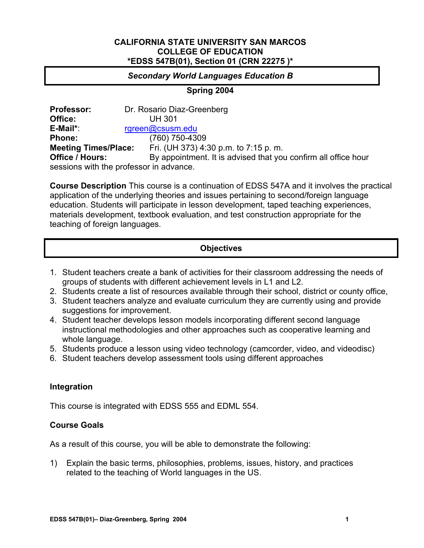#### **CALIFORNIA STATE UNIVERSITY SAN MARCOS COLLEGE OF EDUCATION \*EDSS 547B(01), Section 01 (CRN 22275 )\***

## *Secondary World Languages Education B*

**Spring 2004** 

**Professor:** Dr. Rosario Diaz-Greenberg **Office:** UH 301 **E-Mail\***: rgreen@csusm.edu **Phone:** (760) 750-4309 **Meeting Times/Place:** Fri. (UH 373) 4:30 p.m. to 7:15 p.m.<br>**Office / Hours:** By appointment. It is advised that you By appointment. It is advised that you confirm all office hour sessions with the professor in advance.

**Course Description** This course is a continuation of EDSS 547A and it involves the practical application of the underlying theories and issues pertaining to second/foreign language education. Students will participate in lesson development, taped teaching experiences, materials development, textbook evaluation, and test construction appropriate for the teaching of foreign languages.

| <b>Objectives</b> |  |
|-------------------|--|

- 1. Student teachers create a bank of activities for their classroom addressing the needs of groups of students with different achievement levels in L1 and L2.
- 2. Students create a list of resources available through their school, district or county office,
- 3. Student teachers analyze and evaluate curriculum they are currently using and provide suggestions for improvement.
- 4. Student teacher develops lesson models incorporating different second language instructional methodologies and other approaches such as cooperative learning and whole language.
- 5. Students produce a lesson using video technology (camcorder, video, and videodisc)
- 6. Student teachers develop assessment tools using different approaches

## **Integration**

This course is integrated with EDSS 555 and EDML 554.

## **Course Goals**

As a result of this course, you will be able to demonstrate the following:

1) Explain the basic terms, philosophies, problems, issues, history, and practices related to the teaching of World languages in the US.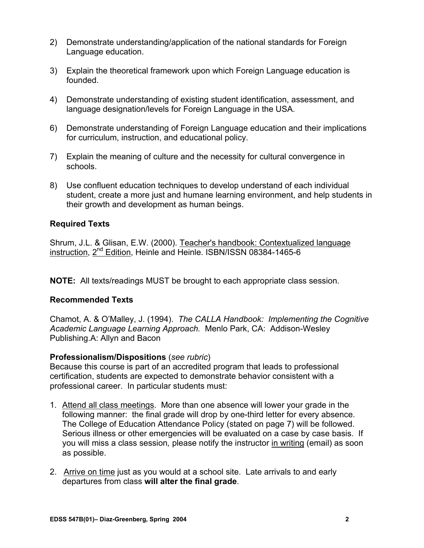- 2) Demonstrate understanding/application of the national standards for Foreign Language education.
- 3) Explain the theoretical framework upon which Foreign Language education is founded.
- 4) Demonstrate understanding of existing student identification, assessment, and language designation/levels for Foreign Language in the USA.
- 6) Demonstrate understanding of Foreign Language education and their implications for curriculum, instruction, and educational policy.
- 7) Explain the meaning of culture and the necessity for cultural convergence in schools.
- 8) Use confluent education techniques to develop understand of each individual student, create a more just and humane learning environment, and help students in their growth and development as human beings.

## **Required Texts**

Shrum, J.L. & Glisan, E.W. (2000). Teacher's handbook: Contextualized language instruction, 2nd Edition, Heinle and Heinle. ISBN/ISSN 08384-1465-6

**NOTE:** All texts/readings MUST be brought to each appropriate class session.

## **Recommended Texts**

Chamot, A. & O'Malley, J. (1994). *The CALLA Handbook: Implementing the Cognitive Academic Language Learning Approach.* Menlo Park, CA: Addison-Wesley Publishing.A: Allyn and Bacon

## **Professionalism/Dispositions** (*see rubric*)

Because this course is part of an accredited program that leads to professional certification, students are expected to demonstrate behavior consistent with a professional career. In particular students must:

- 1. Attend all class meetings. More than one absence will lower your grade in the following manner: the final grade will drop by one-third letter for every absence. The College of Education Attendance Policy (stated on page 7) will be followed. Serious illness or other emergencies will be evaluated on a case by case basis. If you will miss a class session*,* please notify the instructor in writing (email) as soon as possible.
- 2. Arrive on time just as you would at a school site. Late arrivals to and early departures from class **will alter the final grade**.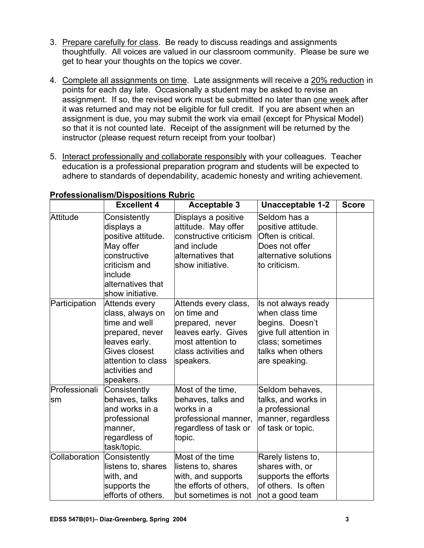- 3. Prepare carefully for class. Be ready to discuss readings and assignments thoughtfully. All voices are valued in our classroom community. Please be sure we get to hear your thoughts on the topics we cover.
- 4. Complete all assignments on time. Late assignments will receive a 20% reduction in points for each day late. Occasionally a student may be asked to revise an assignment. If so, the revised work must be submitted no later than one week after it was returned and may not be eligible for full credit. If you are absent when an assignment is due, you may submit the work via email (except for Physical Model) so that it is not counted late. Receipt of the assignment will be returned by the instructor (please request return receipt from your toolbar)
- 5. Interact professionally and collaborate responsibly with your colleagues. Teacher education is a professional preparation program and students will be expected to adhere to standards of dependability, academic honesty and writing achievement.

|                     | <b>Excellent 4</b>                                                                                                                                           | <b>Acceptable 3</b>                                                                                                                      | Unacceptable 1-2                                                                                                                              | <b>Score</b> |
|---------------------|--------------------------------------------------------------------------------------------------------------------------------------------------------------|------------------------------------------------------------------------------------------------------------------------------------------|-----------------------------------------------------------------------------------------------------------------------------------------------|--------------|
| <b>Attitude</b>     | Consistently<br>displays a<br>positive attitude.<br>May offer<br>constructive<br>criticism and<br>include<br>alternatives that<br>show initiative.           | Displays a positive<br>attitude. May offer<br>constructive criticism<br>and include<br>alternatives that<br>show initiative.             | Seldom has a<br>positive attitude.<br>Often is critical.<br>Does not offer<br>alternative solutions<br>lto criticism.                         |              |
| Participation       | Attends every<br>class, always on<br>time and well<br>prepared, never<br>leaves early.<br>Gives closest<br>attention to class<br>activities and<br>speakers. | Attends every class,<br>lon time and<br>prepared, never<br>leaves early. Gives<br>most attention to<br>class activities and<br>speakers. | Is not always ready<br>when class time<br>begins. Doesn't<br>give full attention in<br>class; sometimes<br>talks when others<br>are speaking. |              |
| Professionali<br>sm | Consistently<br>behaves, talks<br>and works in a<br>professional<br>manner,<br>regardless of<br>task/topic.                                                  | Most of the time,<br>behaves, talks and<br>works in a<br>professional manner,<br>regardless of task or<br>topic.                         | Seldom behaves,<br>talks, and works in<br>a professional<br>manner, regardless<br>of task or topic.                                           |              |
| Collaboration       | Consistently<br>listens to, shares<br>with, and<br>supports the<br>efforts of others.                                                                        | Most of the time<br>listens to, shares<br>with, and supports<br>the efforts of others,<br>but sometimes is not                           | Rarely listens to,<br>shares with, or<br>supports the efforts<br>of others. Is often<br>not a good team                                       |              |

#### **Professionalism/Dispositions Rubric**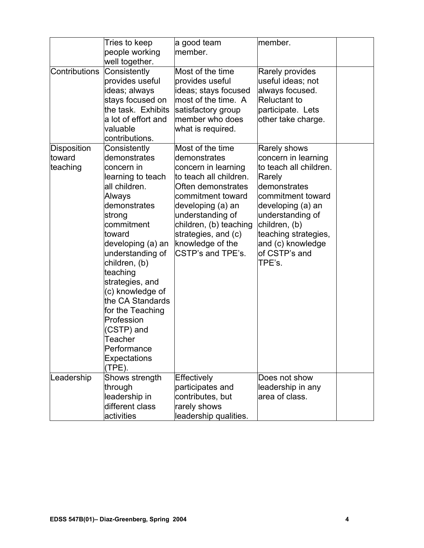|                                          | Tries to keep<br>people working                                                                                                                                                                                                                                                                                                                                                          | a good team<br>member.                                                                                                                                                                                                                                          | member.                                                                                                                                                                                                                                        |  |
|------------------------------------------|------------------------------------------------------------------------------------------------------------------------------------------------------------------------------------------------------------------------------------------------------------------------------------------------------------------------------------------------------------------------------------------|-----------------------------------------------------------------------------------------------------------------------------------------------------------------------------------------------------------------------------------------------------------------|------------------------------------------------------------------------------------------------------------------------------------------------------------------------------------------------------------------------------------------------|--|
| Contributions                            | well together.<br>Consistently<br>provides useful<br>ideas; always<br>stays focused on<br>the task. Exhibits<br>a lot of effort and<br>valuable<br>contributions.                                                                                                                                                                                                                        | Most of the time<br>provides useful<br>ideas; stays focused<br>most of the time. A<br>satisfactory group<br>member who does<br>what is required.                                                                                                                | <b>Rarely provides</b><br>useful ideas; not<br>always focused.<br><b>Reluctant to</b><br>participate. Lets<br>other take charge.                                                                                                               |  |
| <b>Disposition</b><br>toward<br>teaching | Consistently<br>demonstrates<br>concern in<br>learning to teach<br>all children.<br>Always<br>demonstrates<br>strong<br>commitment<br>toward<br>developing (a) an<br>understanding of<br>children, (b)<br>teaching<br>strategies, and<br>(c) knowledge of<br>the CA Standards<br>for the Teaching<br>Profession<br>(CSTP) and<br>Teacher<br>Performance<br><b>Expectations</b><br>(TPE). | Most of the time<br>demonstrates<br>concern in learning<br>to teach all children.<br>Often demonstrates<br>commitment toward<br>developing (a) an<br>understanding of<br>children, (b) teaching<br>strategies, and (c)<br>knowledge of the<br>CSTP's and TPE's. | Rarely shows<br>concern in learning<br>to teach all children.<br>Rarely<br>demonstrates<br>commitment toward<br>developing (a) an<br>understanding of<br>children, (b)<br>teaching strategies,<br>and (c) knowledge<br>of CSTP's and<br>TPE's. |  |
| Leadership                               | Shows strength<br>through<br>leadership in<br>different class<br>activities                                                                                                                                                                                                                                                                                                              | Effectively<br>participates and<br>contributes, but<br>rarely shows<br>leadership qualities.                                                                                                                                                                    | Does not show<br>leadership in any<br>area of class.                                                                                                                                                                                           |  |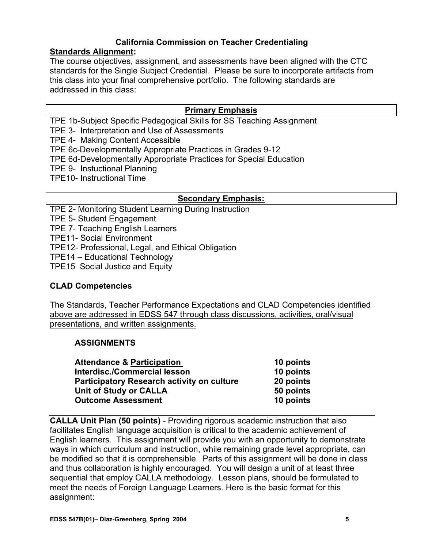# **California Commission on Teacher Credentialing**

## **Standards Alignment:**

The course objectives, assignment, and assessments have been aligned with the CTC standards for the Single Subject Credential. Please be sure to incorporate artifacts from this class into your final comprehensive portfolio. The following standards are addressed in this class:

## **Primary Emphasis**

TPE 1b-Subject Specific Pedagogical Skills for SS Teaching Assignment

TPE 3- Interpretation and Use of Assessments

TPE 4- Making Content Accessible

TPE 6c-Developmentally Appropriate Practices in Grades 9-12

- TPE 6d-Developmentally Appropriate Practices for Special Education
- TPE 9- Instuctional Planning
- TPE10- Instructional Time

## **Secondary Emphasis:**

TPE 2- Monitoring Student Learning During Instruction

TPE 5- Student Engagement

TPE 7- Teaching English Learners

TPE11- Social Environment

TPE12- Professional, Legal, and Ethical Obligation

TPE14 – Educational Technology

TPE15 Social Justice and Equity

## **CLAD Competencies**

The Standards, Teacher Performance Expectations and CLAD Competencies identified above are addressed in EDSS 547 through class discussions, activities, oral/visual presentations, and written assignments.

## **ASSIGNMENTS**

| <b>Attendance &amp; Participation</b>             | 10 points |
|---------------------------------------------------|-----------|
| Interdisc./Commercial lesson                      | 10 points |
| <b>Participatory Research activity on culture</b> | 20 points |
| <b>Unit of Study or CALLA</b>                     | 50 points |
| <b>Outcome Assessment</b>                         | 10 points |

**CALLA Unit Plan (50 points)** - Providing rigorous academic instruction that also facilitates English language acquisition is critical to the academic achievement of English learners. This assignment will provide you with an opportunity to demonstrate ways in which curriculum and instruction, while remaining grade level appropriate, can be modified so that it is comprehensible. Parts of this assignment will be done in class and thus collaboration is highly encouraged. You will design a unit of at least three sequential that employ CALLA methodology. Lesson plans, should be formulated to meet the needs of Foreign Language Learners. Here is the basic format for this assignment: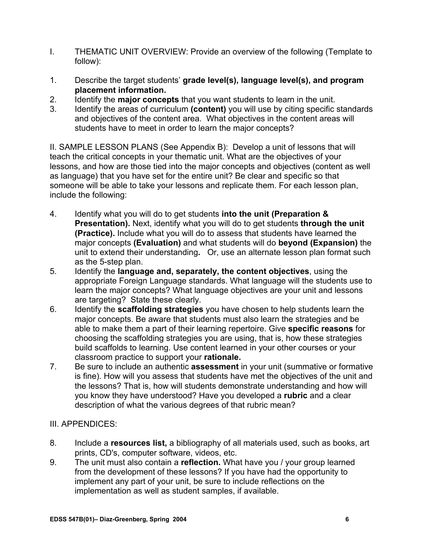- I. THEMATIC UNIT OVERVIEW: Provide an overview of the following (Template to follow):
- 1. Describe the target students' **grade level(s), language level(s), and program placement information.**
- 2. Identify the **major concepts** that you want students to learn in the unit.
- 3. Identify the areas of curriculum **(content)** you will use by citing specific standards and objectives of the content area. What objectives in the content areas will students have to meet in order to learn the major concepts?

II. SAMPLE LESSON PLANS (See Appendix B): Develop a unit of lessons that will teach the critical concepts in your thematic unit. What are the objectives of your lessons, and how are those tied into the major concepts and objectives (content as well as language) that you have set for the entire unit? Be clear and specific so that someone will be able to take your lessons and replicate them. For each lesson plan, include the following:

- 4. Identify what you will do to get students **into the unit (Preparation & Presentation).** Next, identify what you will do to get students **through the unit (Practice).** Include what you will do to assess that students have learned the major concepts **(Evaluation)** and what students will do **beyond (Expansion)** the unit to extend their understanding**.** Or, use an alternate lesson plan format such as the 5-step plan.
- 5. Identify the **language and, separately, the content objectives**, using the appropriate Foreign Language standards. What language will the students use to learn the major concepts? What language objectives are your unit and lessons are targeting? State these clearly.
- 6. Identify the **scaffolding strategies** you have chosen to help students learn the major concepts. Be aware that students must also learn the strategies and be able to make them a part of their learning repertoire. Give **specific reasons** for choosing the scaffolding strategies you are using, that is, how these strategies build scaffolds to learning. Use content learned in your other courses or your classroom practice to support your **rationale.**
- 7. Be sure to include an authentic **assessment** in your unit (summative or formative is fine). How will you assess that students have met the objectives of the unit and the lessons? That is, how will students demonstrate understanding and how will you know they have understood? Have you developed a **rubric** and a clear description of what the various degrees of that rubric mean?

## III. APPENDICES:

- 8. Include a **resources list,** a bibliography of all materials used, such as books, art prints, CD's, computer software, videos, etc.
- 9. The unit must also contain a **reflection.** What have you / your group learned from the development of these lessons? If you have had the opportunity to implement any part of your unit, be sure to include reflections on the implementation as well as student samples, if available.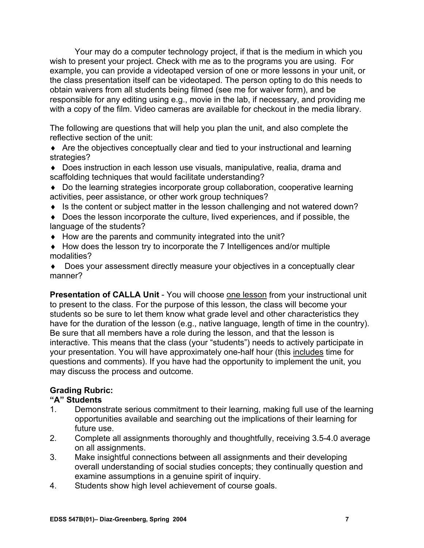Your may do a computer technology project, if that is the medium in which you wish to present your project. Check with me as to the programs you are using. For example, you can provide a videotaped version of one or more lessons in your unit, or the class presentation itself can be videotaped. The person opting to do this needs to obtain waivers from all students being filmed (see me for waiver form), and be responsible for any editing using e.g., movie in the lab, if necessary, and providing me with a copy of the film. Video cameras are available for checkout in the media library.

The following are questions that will help you plan the unit, and also complete the reflective section of the unit:

♦ Are the objectives conceptually clear and tied to your instructional and learning strategies?

♦ Does instruction in each lesson use visuals, manipulative, realia, drama and scaffolding techniques that would facilitate understanding?

♦ Do the learning strategies incorporate group collaboration, cooperative learning activities, peer assistance, or other work group techniques?

♦ Is the content or subject matter in the lesson challenging and not watered down?

♦ Does the lesson incorporate the culture, lived experiences, and if possible, the language of the students?

- ♦ How are the parents and community integrated into the unit?
- ♦ How does the lesson try to incorporate the 7 Intelligences and/or multiple modalities?

♦ Does your assessment directly measure your objectives in a conceptually clear manner?

**Presentation of CALLA Unit** - You will choose one lesson from your instructional unit to present to the class. For the purpose of this lesson, the class will become your students so be sure to let them know what grade level and other characteristics they have for the duration of the lesson (e.g., native language, length of time in the country). Be sure that all members have a role during the lesson, and that the lesson is interactive. This means that the class (your "students") needs to actively participate in your presentation. You will have approximately one-half hour (this includes time for questions and comments). If you have had the opportunity to implement the unit, you may discuss the process and outcome.

# **Grading Rubric:**

## **"A" Students**

- 1. Demonstrate serious commitment to their learning, making full use of the learning opportunities available and searching out the implications of their learning for future use.
- 2. Complete all assignments thoroughly and thoughtfully, receiving 3.5-4.0 average on all assignments.
- 3. Make insightful connections between all assignments and their developing overall understanding of social studies concepts; they continually question and examine assumptions in a genuine spirit of inquiry.
- 4. Students show high level achievement of course goals.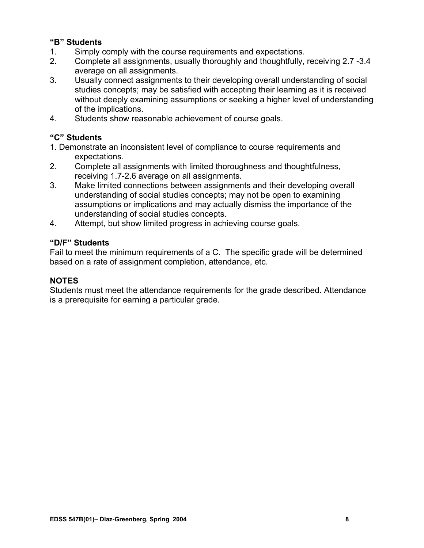## **"B" Students**

- 1. Simply comply with the course requirements and expectations.
- 2. Complete all assignments, usually thoroughly and thoughtfully, receiving 2.7 -3.4 average on all assignments.
- 3. Usually connect assignments to their developing overall understanding of social studies concepts; may be satisfied with accepting their learning as it is received without deeply examining assumptions or seeking a higher level of understanding of the implications.
- 4. Students show reasonable achievement of course goals.

## **"C" Students**

- 1. Demonstrate an inconsistent level of compliance to course requirements and expectations.
- 2. Complete all assignments with limited thoroughness and thoughtfulness, receiving 1.7-2.6 average on all assignments.
- 3. Make limited connections between assignments and their developing overall understanding of social studies concepts; may not be open to examining assumptions or implications and may actually dismiss the importance of the understanding of social studies concepts.
- 4. Attempt, but show limited progress in achieving course goals.

## **"D/F" Students**

Fail to meet the minimum requirements of a C. The specific grade will be determined based on a rate of assignment completion, attendance, etc.

## **NOTES**

Students must meet the attendance requirements for the grade described. Attendance is a prerequisite for earning a particular grade.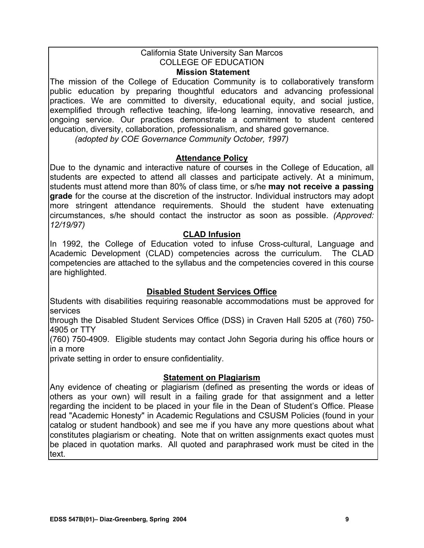#### California State University San Marcos COLLEGE OF EDUCATION. **Mission Statement**

The mission of the College of Education Community is to collaboratively transform public education by preparing thoughtful educators and advancing professional practices. We are committed to diversity, educational equity, and social justice, exemplified through reflective teaching, life-long learning, innovative research, and ongoing service. Our practices demonstrate a commitment to student centered education, diversity, collaboration, professionalism, and shared governance.

*(adopted by COE Governance Community October, 1997)*

## **Attendance Policy**

Due to the dynamic and interactive nature of courses in the College of Education, all students are expected to attend all classes and participate actively. At a minimum, students must attend more than 80% of class time, or s/he **may not receive a passing grade** for the course at the discretion of the instructor. Individual instructors may adopt more stringent attendance requirements. Should the student have extenuating circumstances, s/he should contact the instructor as soon as possible. *(Approved: 12/19/97)* 

## **CLAD Infusion**

In 1992, the College of Education voted to infuse Cross-cultural, Language and Academic Development (CLAD) competencies across the curriculum. The CLAD competencies are attached to the syllabus and the competencies covered in this course are highlighted.

## **Disabled Student Services Office**

Students with disabilities requiring reasonable accommodations must be approved for services

through the Disabled Student Services Office (DSS) in Craven Hall 5205 at (760) 750- 4905 or TTY

(760) 750-4909. Eligible students may contact John Segoria during his office hours or in a more

private setting in order to ensure confidentiality.

## **Statement on Plagiarism**

Any evidence of cheating or plagiarism (defined as presenting the words or ideas of others as your own) will result in a failing grade for that assignment and a letter regarding the incident to be placed in your file in the Dean of Student's Office. Please read "Academic Honesty" in Academic Regulations and CSUSM Policies (found in your catalog or student handbook) and see me if you have any more questions about what constitutes plagiarism or cheating. Note that on written assignments exact quotes must be placed in quotation marks. All quoted and paraphrased work must be cited in the text.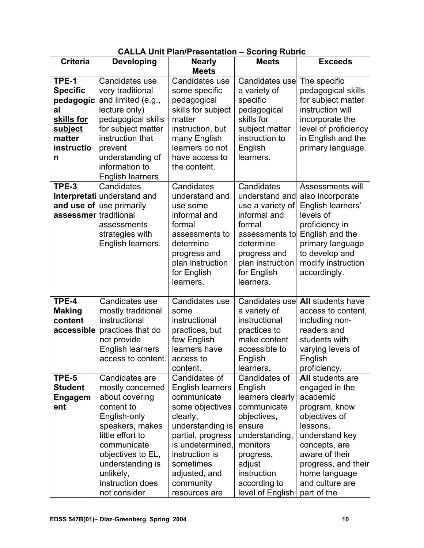|                   |                         | OALLA UNII FIANFTUSUNANUN – OCUNIY KUDITU |                       |                          |
|-------------------|-------------------------|-------------------------------------------|-----------------------|--------------------------|
| <b>Criteria</b>   | <b>Developing</b>       | <b>Nearly</b>                             | <b>Meets</b>          | <b>Exceeds</b>           |
|                   |                         | <b>Meets</b>                              |                       |                          |
| TPE-1             | Candidates use          | Candidates use                            | Candidates use        | The specific             |
| <b>Specific</b>   | very traditional        | some specific                             | a variety of          | pedagogical skills       |
| pedagogic         | and limited (e.g.,      | pedagogical                               | specific              | for subject matter       |
| al                | lecture only)           | skills for subject                        | pedagogical           | instruction will         |
| <u>skills for</u> | pedagogical skills      | matter                                    | skills for            | incorporate the          |
| <u>subject</u>    | for subject matter      | instruction, but                          | subject matter        | level of proficiency     |
| matter            | instruction that        | many English                              | instruction to        | in English and the       |
| instructio        | prevent                 | learners do not                           | English               | primary language.        |
| n                 | understanding of        | have access to                            | learners.             |                          |
|                   | information to          | the content.                              |                       |                          |
|                   | <b>English learners</b> |                                           |                       |                          |
| TPE-3             | Candidates              | Candidates                                | Candidates            | Assessments will         |
| Interpretati      | understand and          | understand and                            | understand and        | also incorporate         |
| and use of        | use primarily           | use some                                  | use a variety of      | English learners'        |
| assessmer         | traditional             | informal and                              | informal and          | levels of                |
|                   | assessments             | formal                                    | formal                | proficiency in           |
|                   | strategies with         | assessments to                            | assessments to        | English and the          |
|                   | English learners.       | determine                                 | determine             | primary language         |
|                   |                         | progress and                              | progress and          | to develop and           |
|                   |                         | plan instruction                          | plan instruction      | modify instruction       |
|                   |                         | for English                               | for English           | accordingly.             |
|                   |                         | learners.                                 | learners.             |                          |
|                   |                         |                                           |                       |                          |
| TPE-4             | Candidates use          | Candidates use                            | Candidates use        | <b>All students have</b> |
| <b>Making</b>     | mostly traditional      | some                                      | a variety of          | access to content,       |
| content           | instructional           | instructional                             | instructional         | including non-           |
| accessible        | practices that do       | practices, but                            | practices to          | readers and              |
|                   | not provide             | few English                               | make content          | students with            |
|                   | <b>English learners</b> | learners have                             | accessible to         | varying levels of        |
|                   | access to content.      | access to                                 | English               | English                  |
|                   |                         | content.                                  | learners.             | proficiency.             |
| TPE-5             | Candidates are          | Candidates of                             | Candidates of         | All students are         |
| <b>Student</b>    | mostly concerned        | <b>English learners</b>                   | English               | engaged in the           |
| <b>Engagem</b>    | about covering          | communicate                               | learners clearly      | academic                 |
| ent               | content to              | some objectives                           | communicate           | program, know            |
|                   | English-only            | clearly,                                  | objectives,           | objectives of            |
|                   | speakers, makes         | understanding is                          | ensure                | lessons,                 |
|                   | little effort to        | partial, progress                         | understanding,        | understand key           |
|                   | communicate             | is undetermined,                          | monitors              | concepts, are            |
|                   | objectives to EL,       | instruction is                            |                       | aware of their           |
|                   |                         | sometimes                                 | progress,             |                          |
|                   | understanding is        |                                           | adjust<br>instruction | progress, and their      |
|                   | unlikely,               | adjusted, and                             |                       | home language            |
|                   | instruction does        | community                                 | according to          | and culture are          |
|                   | not consider            | resources are                             | level of English      | part of the              |

# **CALLA Unit Plan/Presentation – Scoring Rubric**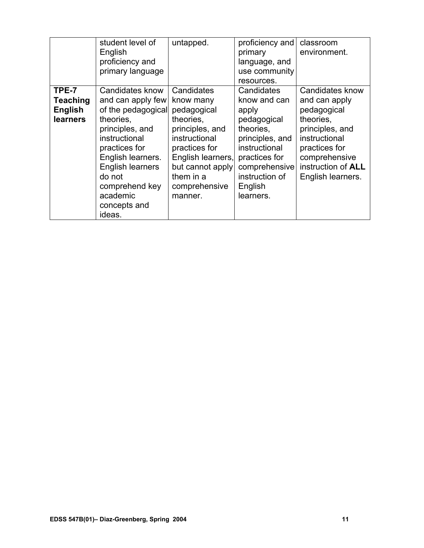|                                                               | student level of<br>English<br>proficiency and<br>primary language                                                                                                                                                                             | untapped.                                                                                                                                                                                  | proficiency and<br>primary<br>language, and<br>use community<br>resources.                                                                                                      | classroom<br>environment.                                                                                                                                                                   |
|---------------------------------------------------------------|------------------------------------------------------------------------------------------------------------------------------------------------------------------------------------------------------------------------------------------------|--------------------------------------------------------------------------------------------------------------------------------------------------------------------------------------------|---------------------------------------------------------------------------------------------------------------------------------------------------------------------------------|---------------------------------------------------------------------------------------------------------------------------------------------------------------------------------------------|
| TPE-7<br><b>Teaching</b><br><b>English</b><br><b>learners</b> | Candidates know<br>and can apply few<br>of the pedagogical<br>theories,<br>principles, and<br>instructional<br>practices for<br>English learners.<br><b>English learners</b><br>do not<br>comprehend key<br>academic<br>concepts and<br>ideas. | Candidates<br>know many<br>pedagogical<br>theories,<br>principles, and<br>instructional<br>practices for<br>English learners,<br>but cannot apply<br>them in a<br>comprehensive<br>manner. | Candidates<br>know and can<br>apply<br>pedagogical<br>theories.<br>principles, and<br>instructional<br>practices for<br>comprehensive<br>instruction of<br>English<br>learners. | <b>Candidates know</b><br>and can apply<br>pedagogical<br>theories,<br>principles, and<br>instructional<br>practices for<br>comprehensive<br>instruction of <b>ALL</b><br>English learners. |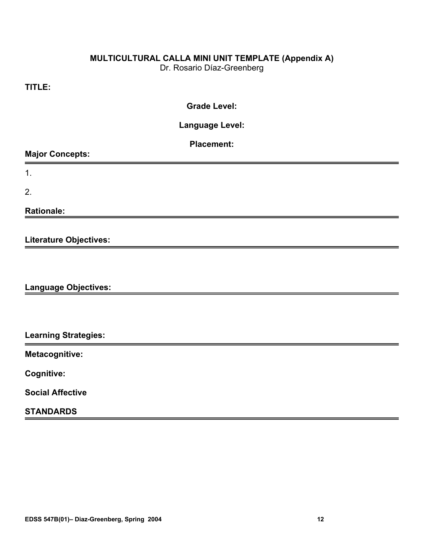## **MULTICULTURAL CALLA MINI UNIT TEMPLATE (Appendix A)**

Dr. Rosario Díaz-Greenberg

## **TITLE:**

## **Grade Level:**

**Language Level:** 

| <b>Placement:</b> |  |
|-------------------|--|
|                   |  |

|  | <b>Major Concepts:</b> |
|--|------------------------|
|--|------------------------|

1.

2.

**Rationale:** 

**Literature Objectives:** 

**Language Objectives:** 

**Learning Strategies:** 

**Metacognitive:** 

**Cognitive:** 

**Social Affective** 

## **STANDARDS**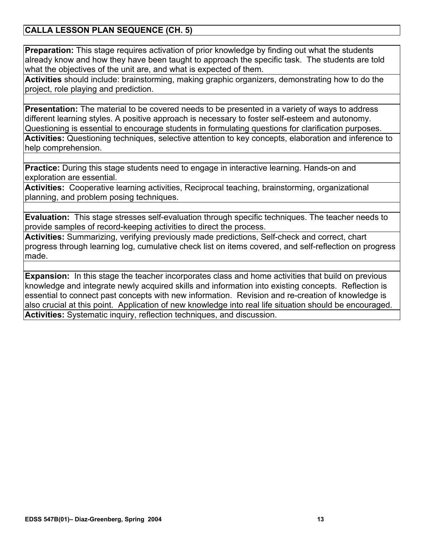## **CALLA LESSON PLAN SEQUENCE (CH. 5)**

**Preparation:** This stage requires activation of prior knowledge by finding out what the students already know and how they have been taught to approach the specific task. The students are told what the objectives of the unit are, and what is expected of them.

**Activities** should include: brainstorming, making graphic organizers, demonstrating how to do the project, role playing and prediction.

**Presentation:** The material to be covered needs to be presented in a variety of ways to address different learning styles. A positive approach is necessary to foster self-esteem and autonomy. Questioning is essential to encourage students in formulating questions for clarification purposes. **Activities:** Questioning techniques, selective attention to key concepts, elaboration and inference to help comprehension.

**Practice:** During this stage students need to engage in interactive learning. Hands-on and exploration are essential.

**Activities:** Cooperative learning activities, Reciprocal teaching, brainstorming, organizational planning, and problem posing techniques.

**Evaluation:** This stage stresses self-evaluation through specific techniques. The teacher needs to provide samples of record-keeping activities to direct the process.

**Activities:** Summarizing, verifying previously made predictions, Self-check and correct, chart progress through learning log, cumulative check list on items covered, and self-reflection on progress made.

**Expansion:** In this stage the teacher incorporates class and home activities that build on previous knowledge and integrate newly acquired skills and information into existing concepts. Reflection is essential to connect past concepts with new information. Revision and re-creation of knowledge is also crucial at this point. Application of new knowledge into real life situation should be encouraged. **Activities:** Systematic inquiry, reflection techniques, and discussion.